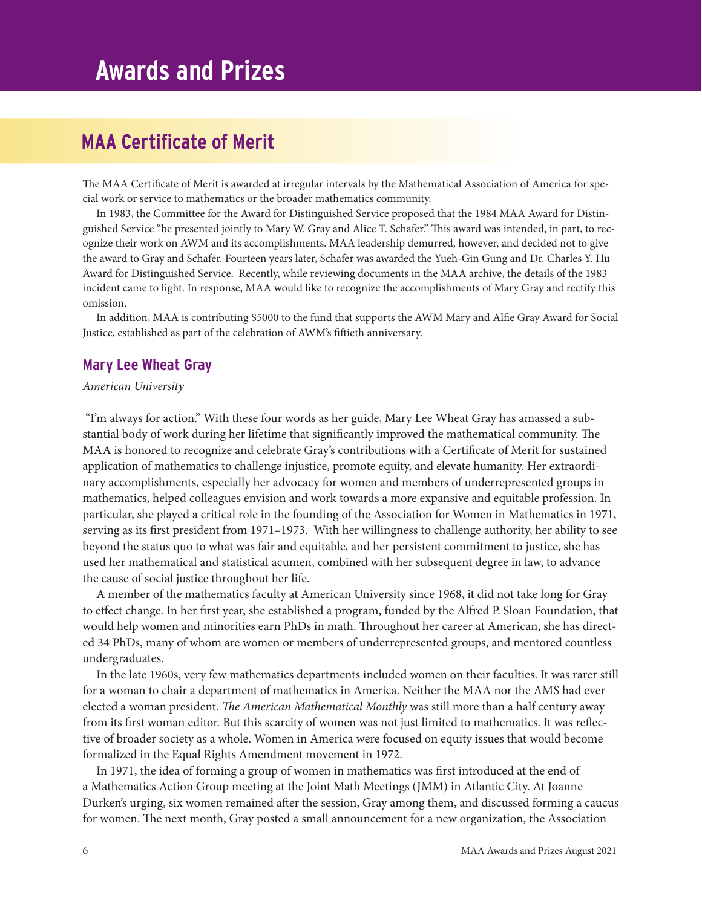# **MAA Certificate of Merit**

The MAA Certificate of Merit is awarded at irregular intervals by the Mathematical Association of America for special work or service to mathematics or the broader mathematics community.

In 1983, the Committee for the Award for Distinguished Service proposed that the 1984 MAA Award for Distinguished Service "be presented jointly to Mary W. Gray and Alice T. Schafer." This award was intended, in part, to recognize their work on AWM and its accomplishments. MAA leadership demurred, however, and decided not to give the award to Gray and Schafer. Fourteen years later, Schafer was awarded the Yueh-Gin Gung and Dr. Charles Y. Hu Award for Distinguished Service. Recently, while reviewing documents in the MAA archive, the details of the 1983 incident came to light. In response, MAA would like to recognize the accomplishments of Mary Gray and rectify this omission.

In addition, MAA is contributing \$5000 to the fund that supports the AWM Mary and Alfie Gray Award for Social Justice, established as part of the celebration of AWM's fiftieth anniversary.

## **Mary Lee Wheat Gray**

### *American University*

 "I'm always for action." With these four words as her guide, Mary Lee Wheat Gray has amassed a substantial body of work during her lifetime that significantly improved the mathematical community. The MAA is honored to recognize and celebrate Gray's contributions with a Certificate of Merit for sustained application of mathematics to challenge injustice, promote equity, and elevate humanity. Her extraordinary accomplishments, especially her advocacy for women and members of underrepresented groups in mathematics, helped colleagues envision and work towards a more expansive and equitable profession. In particular, she played a critical role in the founding of the Association for Women in Mathematics in 1971, serving as its first president from 1971–1973. With her willingness to challenge authority, her ability to see beyond the status quo to what was fair and equitable, and her persistent commitment to justice, she has used her mathematical and statistical acumen, combined with her subsequent degree in law, to advance the cause of social justice throughout her life.

A member of the mathematics faculty at American University since 1968, it did not take long for Gray to effect change. In her first year, she established a program, funded by the Alfred P. Sloan Foundation, that would help women and minorities earn PhDs in math. Throughout her career at American, she has directed 34 PhDs, many of whom are women or members of underrepresented groups, and mentored countless undergraduates.

In the late 1960s, very few mathematics departments included women on their faculties. It was rarer still for a woman to chair a department of mathematics in America. Neither the MAA nor the AMS had ever elected a woman president. *The American Mathematical Monthly* was still more than a half century away from its first woman editor. But this scarcity of women was not just limited to mathematics. It was reflective of broader society as a whole. Women in America were focused on equity issues that would become formalized in the Equal Rights Amendment movement in 1972.

In 1971, the idea of forming a group of women in mathematics was first introduced at the end of a Mathematics Action Group meeting at the Joint Math Meetings (JMM) in Atlantic City. At Joanne Durken's urging, six women remained after the session, Gray among them, and discussed forming a caucus for women. The next month, Gray posted a small announcement for a new organization, the Association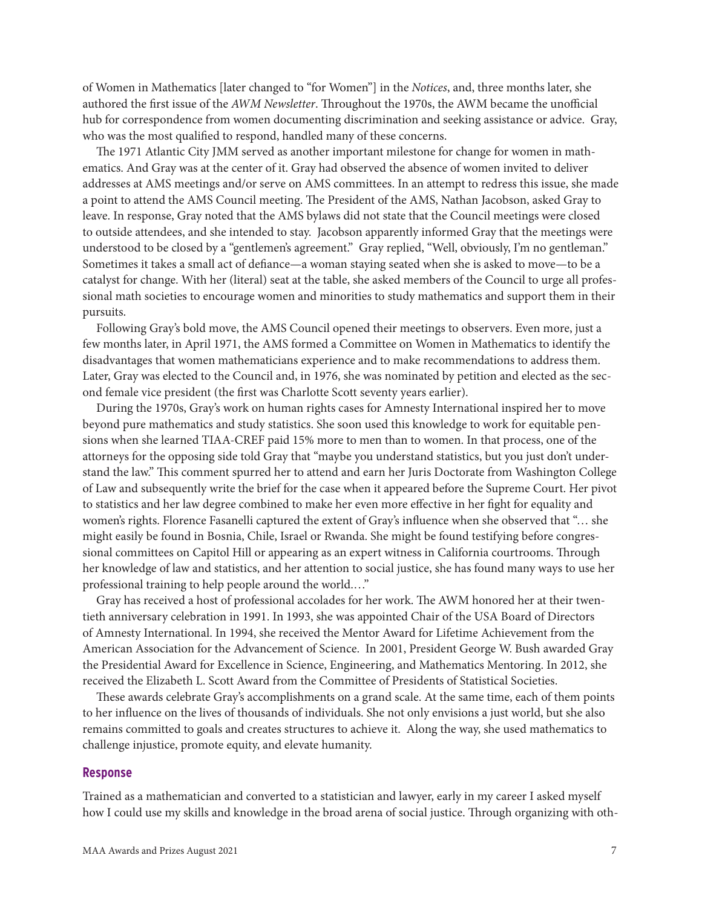of Women in Mathematics [later changed to "for Women"] in the *Notices*, and, three months later, she authored the first issue of the *AWM Newsletter*. Throughout the 1970s, the AWM became the unofficial hub for correspondence from women documenting discrimination and seeking assistance or advice. Gray, who was the most qualified to respond, handled many of these concerns.

The 1971 Atlantic City JMM served as another important milestone for change for women in mathematics. And Gray was at the center of it. Gray had observed the absence of women invited to deliver addresses at AMS meetings and/or serve on AMS committees. In an attempt to redress this issue, she made a point to attend the AMS Council meeting. The President of the AMS, Nathan Jacobson, asked Gray to leave. In response, Gray noted that the AMS bylaws did not state that the Council meetings were closed to outside attendees, and she intended to stay. Jacobson apparently informed Gray that the meetings were understood to be closed by a "gentlemen's agreement." Gray replied, "Well, obviously, I'm no gentleman." Sometimes it takes a small act of defiance—a woman staying seated when she is asked to move—to be a catalyst for change. With her (literal) seat at the table, she asked members of the Council to urge all professional math societies to encourage women and minorities to study mathematics and support them in their pursuits.

Following Gray's bold move, the AMS Council opened their meetings to observers. Even more, just a few months later, in April 1971, the AMS formed a Committee on Women in Mathematics to identify the disadvantages that women mathematicians experience and to make recommendations to address them. Later, Gray was elected to the Council and, in 1976, she was nominated by petition and elected as the second female vice president (the first was Charlotte Scott seventy years earlier).

During the 1970s, Gray's work on human rights cases for Amnesty International inspired her to move beyond pure mathematics and study statistics. She soon used this knowledge to work for equitable pensions when she learned TIAA-CREF paid 15% more to men than to women. In that process, one of the attorneys for the opposing side told Gray that "maybe you understand statistics, but you just don't understand the law." This comment spurred her to attend and earn her Juris Doctorate from Washington College of Law and subsequently write the brief for the case when it appeared before the Supreme Court. Her pivot to statistics and her law degree combined to make her even more effective in her fight for equality and women's rights. Florence Fasanelli captured the extent of Gray's influence when she observed that "… she might easily be found in Bosnia, Chile, Israel or Rwanda. She might be found testifying before congressional committees on Capitol Hill or appearing as an expert witness in California courtrooms. Through her knowledge of law and statistics, and her attention to social justice, she has found many ways to use her professional training to help people around the world.…"

Gray has received a host of professional accolades for her work. The AWM honored her at their twentieth anniversary celebration in 1991. In 1993, she was appointed Chair of the USA Board of Directors of Amnesty International. In 1994, she received the Mentor Award for Lifetime Achievement from the American Association for the Advancement of Science. In 2001, President George W. Bush awarded Gray the Presidential Award for Excellence in Science, Engineering, and Mathematics Mentoring. In 2012, she received the Elizabeth L. Scott Award from the Committee of Presidents of Statistical Societies.

These awards celebrate Gray's accomplishments on a grand scale. At the same time, each of them points to her influence on the lives of thousands of individuals. She not only envisions a just world, but she also remains committed to goals and creates structures to achieve it. Along the way, she used mathematics to challenge injustice, promote equity, and elevate humanity.

#### **Response**

Trained as a mathematician and converted to a statistician and lawyer, early in my career I asked myself how I could use my skills and knowledge in the broad arena of social justice. Through organizing with oth